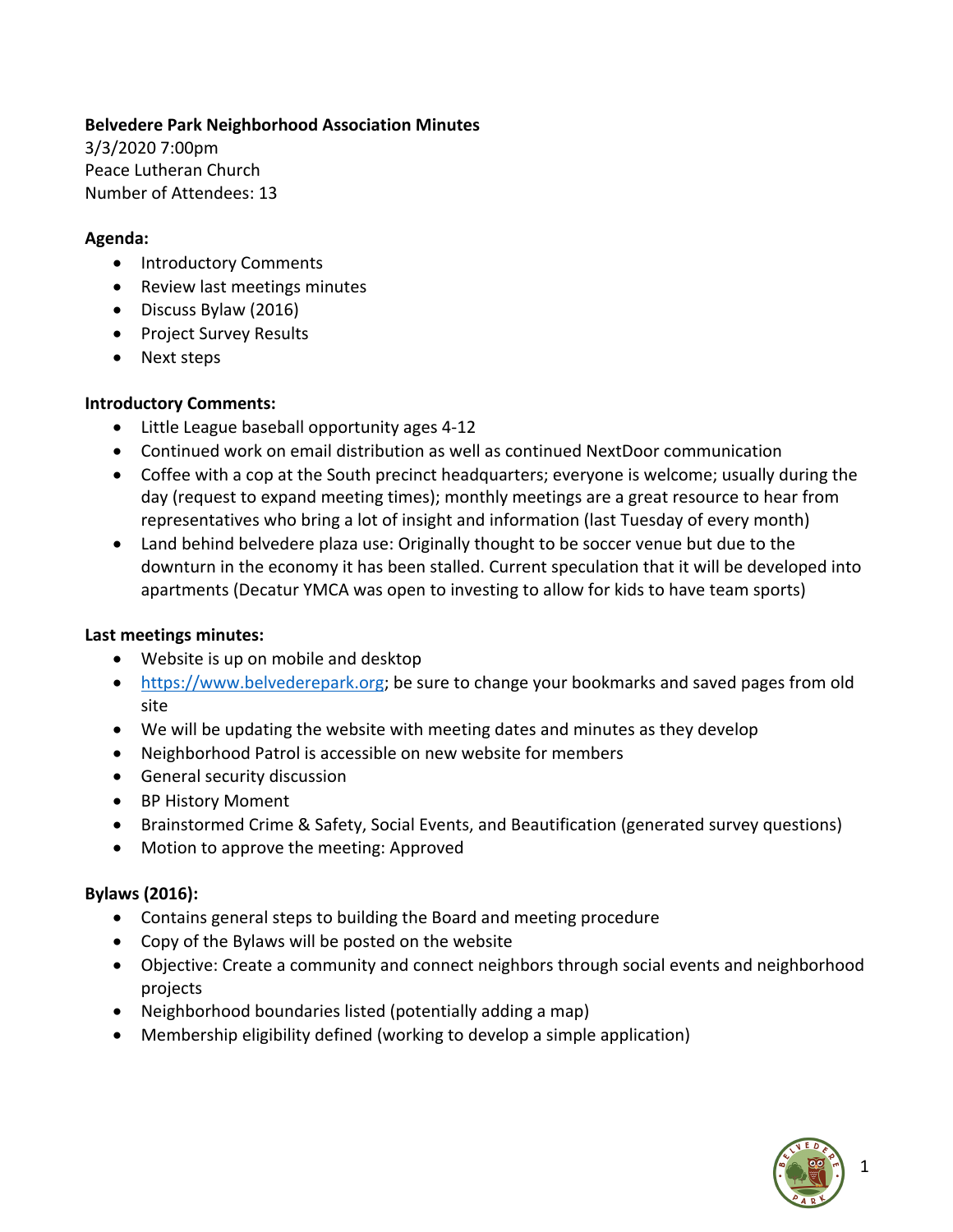# **Belvedere Park Neighborhood Association Minutes**

3/3/2020 7:00pm Peace Lutheran Church Number of Attendees: 13

#### **Agenda:**

- Introductory Comments
- Review last meetings minutes
- Discuss Bylaw (2016)
- Project Survey Results
- Next steps

# **Introductory Comments:**

- Little League baseball opportunity ages 4-12
- Continued work on email distribution as well as continued NextDoor communication
- Coffee with a cop at the South precinct headquarters; everyone is welcome; usually during the day (request to expand meeting times); monthly meetings are a great resource to hear from representatives who bring a lot of insight and information (last Tuesday of every month)
- Land behind belvedere plaza use: Originally thought to be soccer venue but due to the downturn in the economy it has been stalled. Current speculation that it will be developed into apartments (Decatur YMCA was open to investing to allow for kids to have team sports)

# **Last meetings minutes:**

- Website is up on mobile and desktop
- https://www.belvederepark.org; be sure to change your bookmarks and saved pages from old site
- We will be updating the website with meeting dates and minutes as they develop
- Neighborhood Patrol is accessible on new website for members
- General security discussion
- BP History Moment
- Brainstormed Crime & Safety, Social Events, and Beautification (generated survey questions)
- Motion to approve the meeting: Approved

# **Bylaws (2016):**

- Contains general steps to building the Board and meeting procedure
- Copy of the Bylaws will be posted on the website
- Objective: Create a community and connect neighbors through social events and neighborhood projects
- Neighborhood boundaries listed (potentially adding a map)
- Membership eligibility defined (working to develop a simple application)

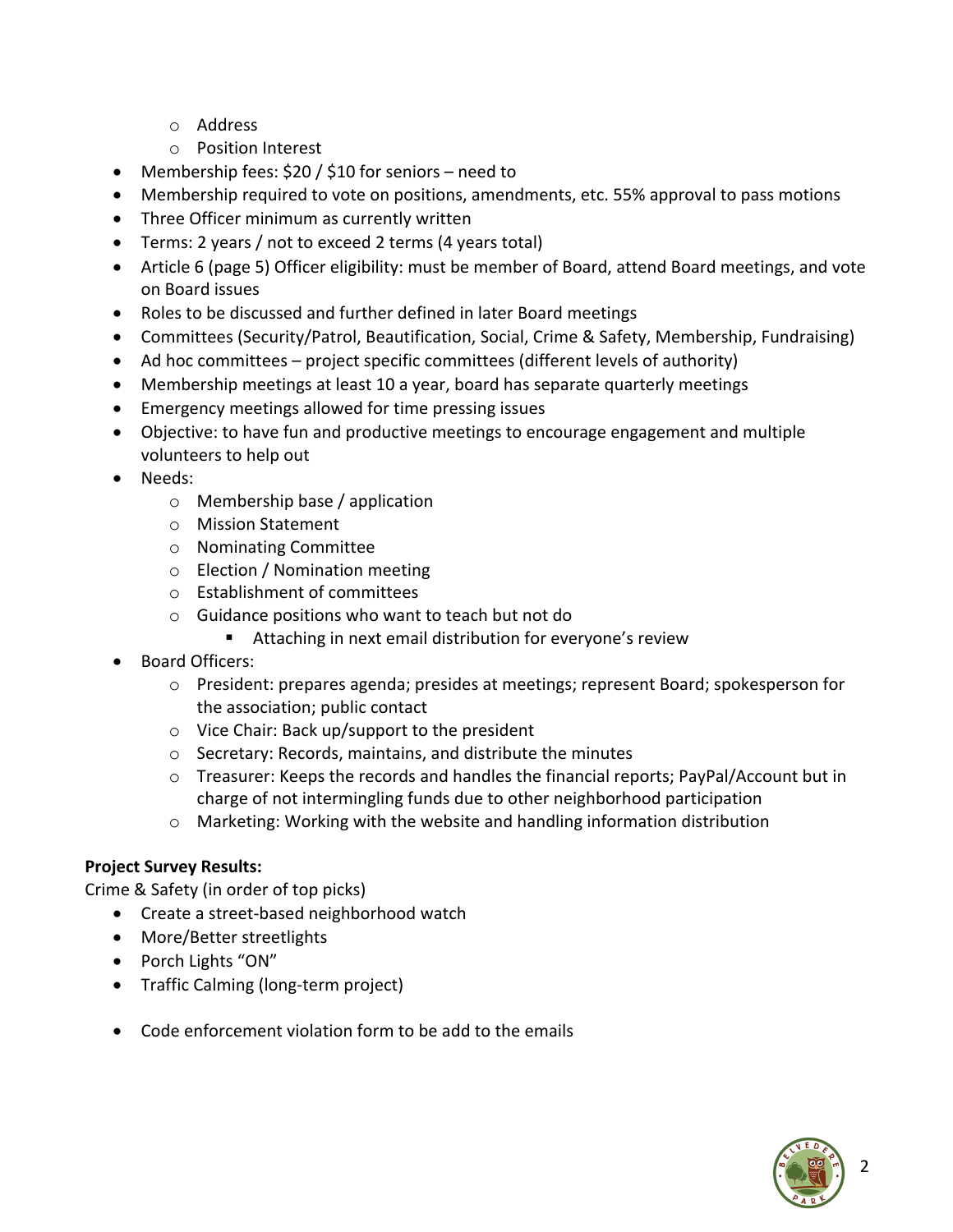- o Address
- o Position Interest
- Membership fees: \$20 / \$10 for seniors need to
- Membership required to vote on positions, amendments, etc. 55% approval to pass motions
- Three Officer minimum as currently written
- Terms: 2 years / not to exceed 2 terms (4 years total)
- Article 6 (page 5) Officer eligibility: must be member of Board, attend Board meetings, and vote on Board issues
- Roles to be discussed and further defined in later Board meetings
- Committees (Security/Patrol, Beautification, Social, Crime & Safety, Membership, Fundraising)
- Ad hoc committees project specific committees (different levels of authority)
- Membership meetings at least 10 a year, board has separate quarterly meetings
- Emergency meetings allowed for time pressing issues
- Objective: to have fun and productive meetings to encourage engagement and multiple volunteers to help out
- Needs:
	- o Membership base / application
	- o Mission Statement
	- o Nominating Committee
	- o Election / Nomination meeting
	- o Establishment of committees
	- o Guidance positions who want to teach but not do
		- Attaching in next email distribution for everyone's review
- Board Officers:
	- o President: prepares agenda; presides at meetings; represent Board; spokesperson for the association; public contact
	- o Vice Chair: Back up/support to the president
	- o Secretary: Records, maintains, and distribute the minutes
	- o Treasurer: Keeps the records and handles the financial reports; PayPal/Account but in charge of not intermingling funds due to other neighborhood participation
	- o Marketing: Working with the website and handling information distribution

# **Project Survey Results:**

Crime & Safety (in order of top picks)

- Create a street-based neighborhood watch
- More/Better streetlights
- Porch Lights "ON"
- Traffic Calming (long-term project)
- Code enforcement violation form to be add to the emails

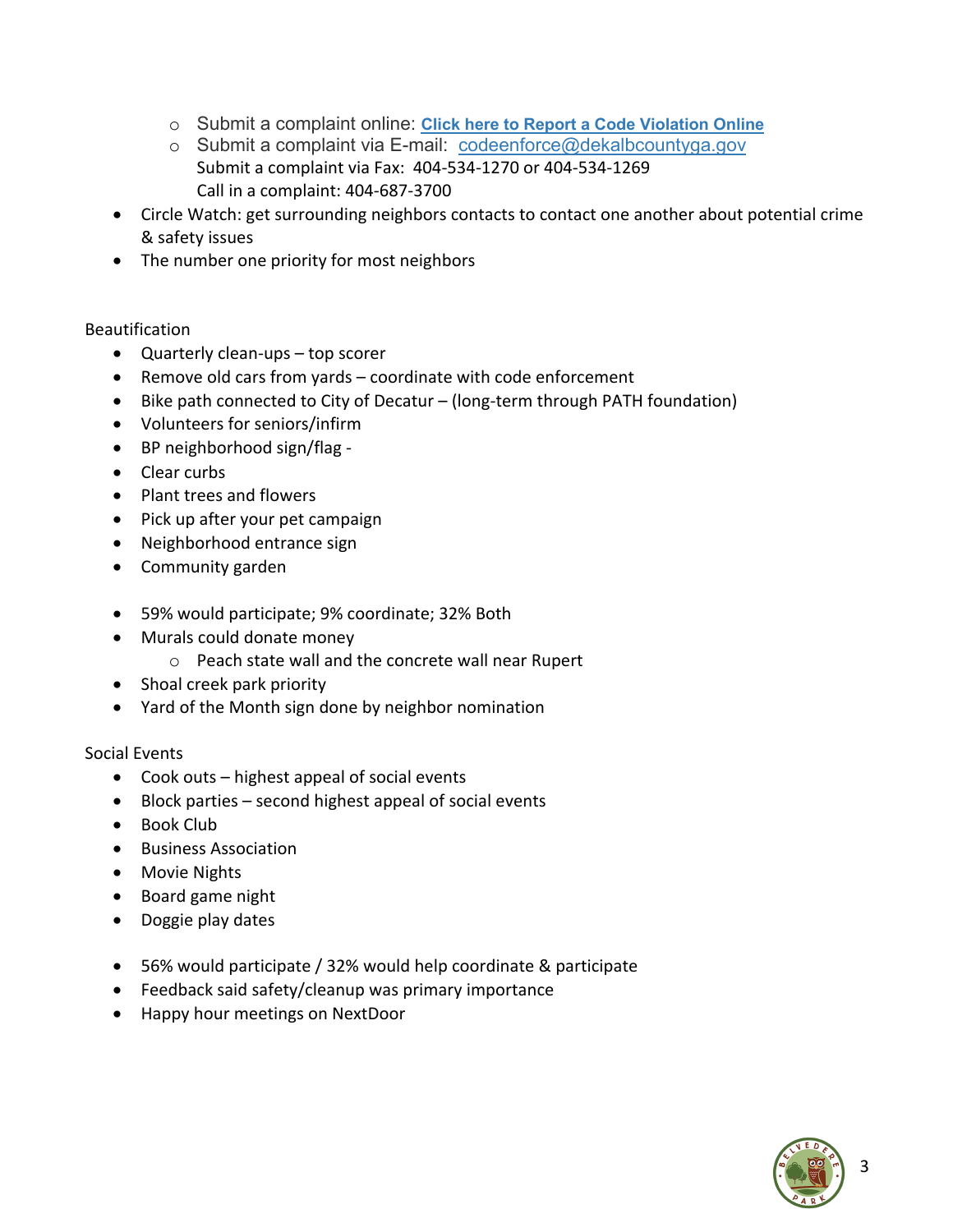- o Submit a complaint online: **Click here to Report a Code Violation Online**
- o Submit a complaint via E-mail: codeenforce@dekalbcountyga.gov Submit a complaint via Fax: 404-534-1270 or 404-534-1269 Call in a complaint: 404-687-3700
- Circle Watch: get surrounding neighbors contacts to contact one another about potential crime & safety issues
- The number one priority for most neighbors

#### Beautification

- Quarterly clean-ups top scorer
- Remove old cars from yards coordinate with code enforcement
- Bike path connected to City of Decatur (long-term through PATH foundation)
- Volunteers for seniors/infirm
- BP neighborhood sign/flag -
- Clear curbs
- Plant trees and flowers
- Pick up after your pet campaign
- Neighborhood entrance sign
- Community garden
- 59% would participate; 9% coordinate; 32% Both
- Murals could donate money
	- o Peach state wall and the concrete wall near Rupert
- Shoal creek park priority
- Yard of the Month sign done by neighbor nomination

#### Social Events

- Cook outs highest appeal of social events
- Block parties second highest appeal of social events
- Book Club
- Business Association
- Movie Nights
- Board game night
- Doggie play dates
- 56% would participate / 32% would help coordinate & participate
- Feedback said safety/cleanup was primary importance
- Happy hour meetings on NextDoor